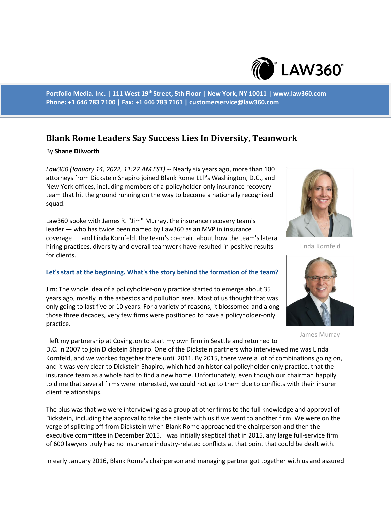

**Portfolio Media. Inc. | 111 West 19th Street, 5th Floor | New York, NY 10011 | www.law360.com Phone: +1 646 783 7100 | Fax: +1 646 783 7161 | customerservice@law360.com**

# **Blank Rome Leaders Say Success Lies In Diversity, Teamwork**

#### By **Shane Dilworth**

*Law360 (January 14, 2022, 11:27 AM EST)* -- Nearly six years ago, more than 100 attorneys from Dickstein Shapiro joined Blank Rome LLP's Washington, D.C., and New York offices, including members of a policyholder-only insurance recovery team that hit the ground running on the way to become a nationally recognized squad.

Law360 spoke with James R. "Jim" Murray, the insurance recovery team's leader — who has twice been named by Law360 as an MVP in insurance coverage — and Linda Kornfeld, the team's co-chair, about how the team's lateral hiring practices, diversity and overall teamwork have resulted in positive results for clients.

## **Let's start at the beginning. What's the story behind the formation of the team?**

Jim: The whole idea of a policyholder-only practice started to emerge about 35 years ago, mostly in the asbestos and pollution area. Most of us thought that was only going to last five or 10 years. For a variety of reasons, it blossomed and along those three decades, very few firms were positioned to have a policyholder-only practice.

I left my partnership at Covington to start my own firm in Seattle and returned to D.C. in 2007 to join Dickstein Shapiro. One of the Dickstein partners who interviewed me was Linda Kornfeld, and we worked together there until 2011. By 2015, there were a lot of combinations going on, and it was very clear to Dickstein Shapiro, which had an historical policyholder-only practice, that the insurance team as a whole had to find a new home. Unfortunately, even though our chairman happily told me that several firms were interested, we could not go to them due to conflicts with their insurer client relationships.

The plus was that we were interviewing as a group at other firms to the full knowledge and approval of Dickstein, including the approval to take the clients with us if we went to another firm. We were on the verge of splitting off from Dickstein when Blank Rome approached the chairperson and then the executive committee in December 2015. I was initially skeptical that in 2015, any large full-service firm of 600 lawyers truly had no insurance industry-related conflicts at that point that could be dealt with.

In early January 2016, Blank Rome's chairperson and managing partner got together with us and assured



Linda Kornfeld



James Murray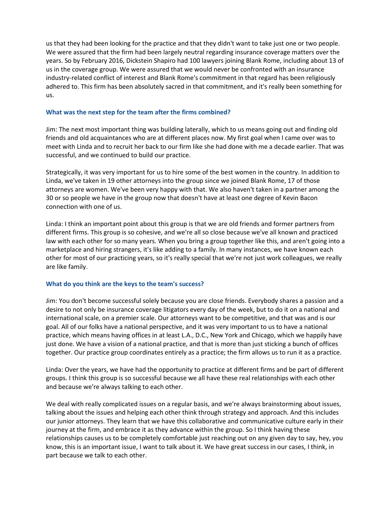us that they had been looking for the practice and that they didn't want to take just one or two people. We were assured that the firm had been largely neutral regarding insurance coverage matters over the years. So by February 2016, Dickstein Shapiro had 100 lawyers joining Blank Rome, including about 13 of us in the coverage group. We were assured that we would never be confronted with an insurance industry-related conflict of interest and Blank Rome's commitment in that regard has been religiously adhered to. This firm has been absolutely sacred in that commitment, and it's really been something for us.

## **What was the next step for the team after the firms combined?**

Jim: The next most important thing was building laterally, which to us means going out and finding old friends and old acquaintances who are at different places now. My first goal when I came over was to meet with Linda and to recruit her back to our firm like she had done with me a decade earlier. That was successful, and we continued to build our practice.

Strategically, it was very important for us to hire some of the best women in the country. In addition to Linda, we've taken in 19 other attorneys into the group since we joined Blank Rome, 17 of those attorneys are women. We've been very happy with that. We also haven't taken in a partner among the 30 or so people we have in the group now that doesn't have at least one degree of Kevin Bacon connection with one of us.

Linda: I think an important point about this group is that we are old friends and former partners from different firms. This group is so cohesive, and we're all so close because we've all known and practiced law with each other for so many years. When you bring a group together like this, and aren't going into a marketplace and hiring strangers, it's like adding to a family. In many instances, we have known each other for most of our practicing years, so it's really special that we're not just work colleagues, we really are like family.

## **What do you think are the keys to the team's success?**

Jim: You don't become successful solely because you are close friends. Everybody shares a passion and a desire to not only be insurance coverage litigators every day of the week, but to do it on a national and international scale, on a premier scale. Our attorneys want to be competitive, and that was and is our goal. All of our folks have a national perspective, and it was very important to us to have a national practice, which means having offices in at least L.A., D.C., New York and Chicago, which we happily have just done. We have a vision of a national practice, and that is more than just sticking a bunch of offices together. Our practice group coordinates entirely as a practice; the firm allows us to run it as a practice.

Linda: Over the years, we have had the opportunity to practice at different firms and be part of different groups. I think this group is so successful because we all have these real relationships with each other and because we're always talking to each other.

We deal with really complicated issues on a regular basis, and we're always brainstorming about issues, talking about the issues and helping each other think through strategy and approach. And this includes our junior attorneys. They learn that we have this collaborative and communicative culture early in their journey at the firm, and embrace it as they advance within the group. So I think having these relationships causes us to be completely comfortable just reaching out on any given day to say, hey, you know, this is an important issue, I want to talk about it. We have great success in our cases, I think, in part because we talk to each other.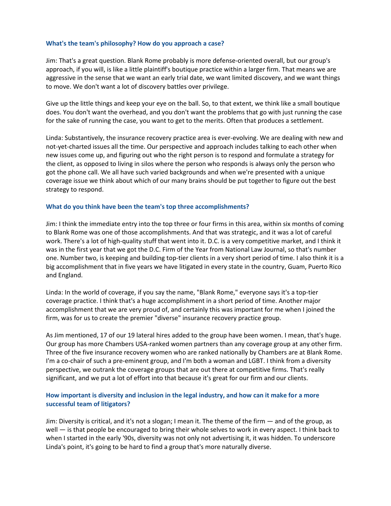#### **What's the team's philosophy? How do you approach a case?**

Jim: That's a great question. Blank Rome probably is more defense-oriented overall, but our group's approach, if you will, is like a little plaintiff's boutique practice within a larger firm. That means we are aggressive in the sense that we want an early trial date, we want limited discovery, and we want things to move. We don't want a lot of discovery battles over privilege.

Give up the little things and keep your eye on the ball. So, to that extent, we think like a small boutique does. You don't want the overhead, and you don't want the problems that go with just running the case for the sake of running the case, you want to get to the merits. Often that produces a settlement.

Linda: Substantively, the insurance recovery practice area is ever-evolving. We are dealing with new and not-yet-charted issues all the time. Our perspective and approach includes talking to each other when new issues come up, and figuring out who the right person is to respond and formulate a strategy for the client, as opposed to living in silos where the person who responds is always only the person who got the phone call. We all have such varied backgrounds and when we're presented with a unique coverage issue we think about which of our many brains should be put together to figure out the best strategy to respond.

#### **What do you think have been the team's top three accomplishments?**

Jim: I think the immediate entry into the top three or four firms in this area, within six months of coming to Blank Rome was one of those accomplishments. And that was strategic, and it was a lot of careful work. There's a lot of high-quality stuff that went into it. D.C. is a very competitive market, and I think it was in the first year that we got the D.C. Firm of the Year from National Law Journal, so that's number one. Number two, is keeping and building top-tier clients in a very short period of time. I also think it is a big accomplishment that in five years we have litigated in every state in the country, Guam, Puerto Rico and England.

Linda: In the world of coverage, if you say the name, "Blank Rome," everyone says it's a top-tier coverage practice. I think that's a huge accomplishment in a short period of time. Another major accomplishment that we are very proud of, and certainly this was important for me when I joined the firm, was for us to create the premier "diverse" insurance recovery practice group.

As Jim mentioned, 17 of our 19 lateral hires added to the group have been women. I mean, that's huge. Our group has more Chambers USA-ranked women partners than any coverage group at any other firm. Three of the five insurance recovery women who are ranked nationally by Chambers are at Blank Rome. I'm a co-chair of such a pre-eminent group, and I'm both a woman and LGBT. I think from a diversity perspective, we outrank the coverage groups that are out there at competitive firms. That's really significant, and we put a lot of effort into that because it's great for our firm and our clients.

## **How important is diversity and inclusion in the legal industry, and how can it make for a more successful team of litigators?**

Jim: Diversity is critical, and it's not a slogan; I mean it. The theme of the firm — and of the group, as well — is that people be encouraged to bring their whole selves to work in every aspect. I think back to when I started in the early '90s, diversity was not only not advertising it, it was hidden. To underscore Linda's point, it's going to be hard to find a group that's more naturally diverse.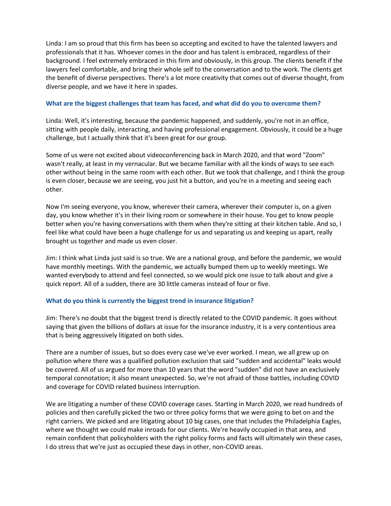Linda: I am so proud that this firm has been so accepting and excited to have the talented lawyers and professionals that it has. Whoever comes in the door and has talent is embraced, regardless of their background. I feel extremely embraced in this firm and obviously, in this group. The clients benefit if the lawyers feel comfortable, and bring their whole self to the conversation and to the work. The clients get the benefit of diverse perspectives. There's a lot more creativity that comes out of diverse thought, from diverse people, and we have it here in spades.

## **What are the biggest challenges that team has faced, and what did do you to overcome them?**

Linda: Well, it's interesting, because the pandemic happened, and suddenly, you're not in an office, sitting with people daily, interacting, and having professional engagement. Obviously, it could be a huge challenge, but I actually think that it's been great for our group.

Some of us were not excited about videoconferencing back in March 2020, and that word "Zoom" wasn't really, at least in my vernacular. But we became familiar with all the kinds of ways to see each other without being in the same room with each other. But we took that challenge, and I think the group is even closer, because we are seeing, you just hit a button, and you're in a meeting and seeing each other.

Now I'm seeing everyone, you know, wherever their camera, wherever their computer is, on a given day, you know whether it's in their living room or somewhere in their house. You get to know people better when you're having conversations with them when they're sitting at their kitchen table. And so, I feel like what could have been a huge challenge for us and separating us and keeping us apart, really brought us together and made us even closer.

Jim: I think what Linda just said is so true. We are a national group, and before the pandemic, we would have monthly meetings. With the pandemic, we actually bumped them up to weekly meetings. We wanted everybody to attend and feel connected, so we would pick one issue to talk about and give a quick report. All of a sudden, there are 30 little cameras instead of four or five.

## **What do you think is currently the biggest trend in insurance litigation?**

Jim: There's no doubt that the biggest trend is directly related to the COVID pandemic. It goes without saying that given the billions of dollars at issue for the insurance industry, it is a very contentious area that is being aggressively litigated on both sides.

There are a number of issues, but so does every case we've ever worked. I mean, we all grew up on pollution where there was a qualified pollution exclusion that said "sudden and accidental" leaks would be covered. All of us argued for more than 10 years that the word "sudden" did not have an exclusively temporal connotation; it also meant unexpected. So, we're not afraid of those battles, including COVID and coverage for COVID related business interruption.

We are litigating a number of these COVID coverage cases. Starting in March 2020, we read hundreds of policies and then carefully picked the two or three policy forms that we were going to bet on and the right carriers. We picked and are litigating about 10 big cases, one that includes the Philadelphia Eagles, where we thought we could make inroads for our clients. We're heavily occupied in that area, and remain confident that policyholders with the right policy forms and facts will ultimately win these cases, I do stress that we're just as occupied these days in other, non-COVID areas.